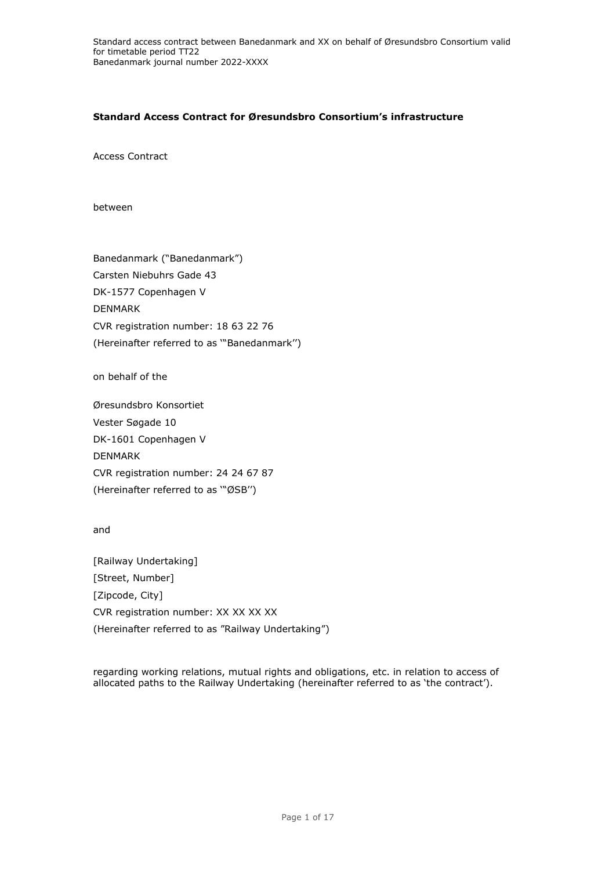## **Standard Access Contract for Øresundsbro Consortium's infrastructure**

Access Contract

between

Banedanmark ("Banedanmark") Carsten Niebuhrs Gade 43 DK-1577 Copenhagen V DENMARK CVR registration number: 18 63 22 76 (Hereinafter referred to as '"Banedanmark'')

on behalf of the

Øresundsbro Konsortiet Vester Søgade 10 DK-1601 Copenhagen V DENMARK CVR registration number: 24 24 67 87 (Hereinafter referred to as '"ØSB'')

and

[Railway Undertaking] [Street, Number] [Zipcode, City] CVR registration number: XX XX XX XX (Hereinafter referred to as "Railway Undertaking")

regarding working relations, mutual rights and obligations, etc. in relation to access of allocated paths to the Railway Undertaking (hereinafter referred to as 'the contract').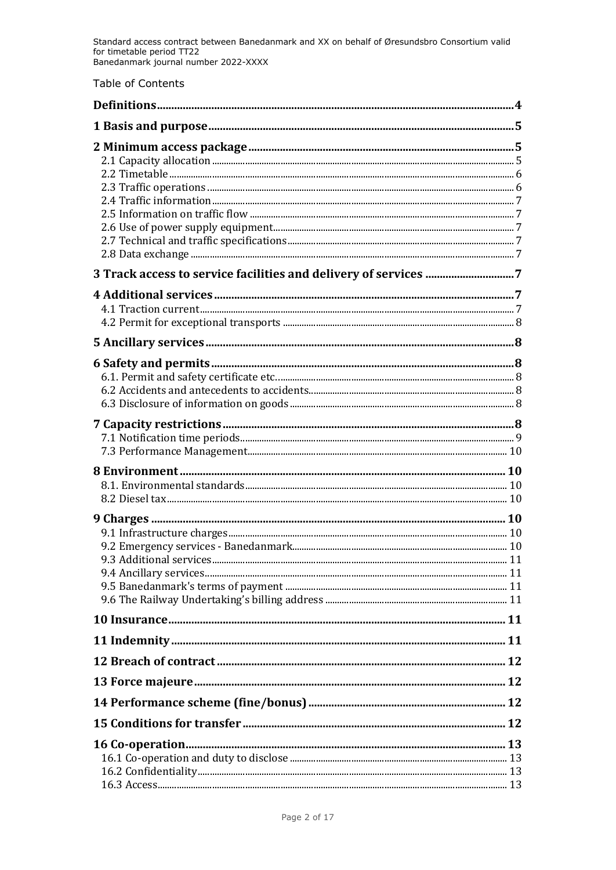Table of Contents

| 9.3 Additional services |  |
|-------------------------|--|
|                         |  |
|                         |  |
|                         |  |
|                         |  |
|                         |  |
|                         |  |
|                         |  |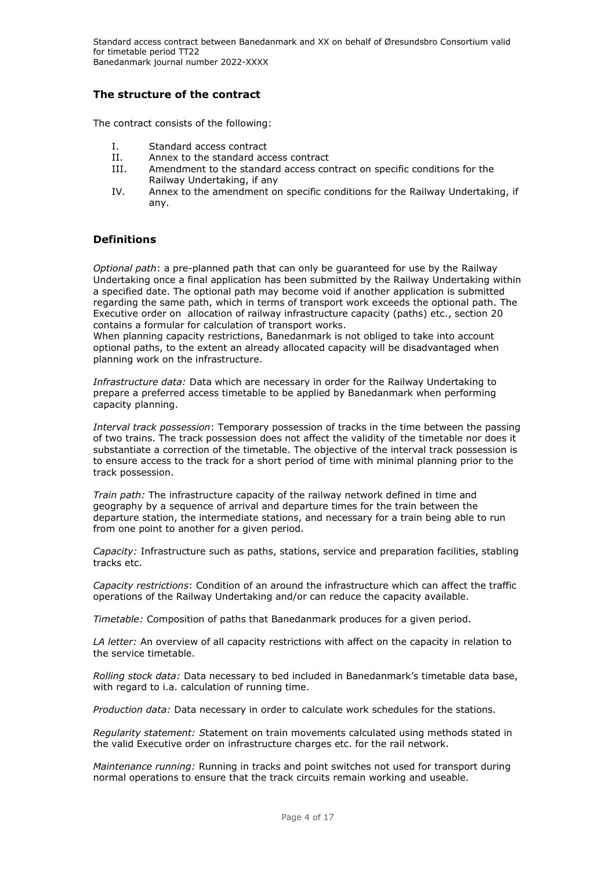## **The structure of the contract**

The contract consists of the following:

- I. Standard access contract
- II. Annex to the standard access contract
- III. Amendment to the standard access contract on specific conditions for the Railway Undertaking, if any
- IV. Annex to the amendment on specific conditions for the Railway Undertaking, if any.

### <span id="page-3-0"></span>**Definitions**

*Optional path*: a pre-planned path that can only be guaranteed for use by the Railway Undertaking once a final application has been submitted by the Railway Undertaking within a specified date. The optional path may become void if another application is submitted regarding the same path, which in terms of transport work exceeds the optional path. The Executive order on [allocation of railway infrastructure capacity \(paths\) etc.,](https://www.retsinformation.dk/Forms/R0710.aspx?id=175108) section 20 contains a formular for calculation of transport works.

When planning capacity restrictions, Banedanmark is not obliged to take into account optional paths, to the extent an already allocated capacity will be disadvantaged when planning work on the infrastructure.

*Infrastructure data:* Data which are necessary in order for the Railway Undertaking to prepare a preferred access timetable to be applied by Banedanmark when performing capacity planning.

*Interval track possession*: Temporary possession of tracks in the time between the passing of two trains. The track possession does not affect the validity of the timetable nor does it substantiate a correction of the timetable. The objective of the interval track possession is to ensure access to the track for a short period of time with minimal planning prior to the track possession.

*Train path:* The infrastructure capacity of the railway network defined in time and geography by a sequence of arrival and departure times for the train between the departure station, the intermediate stations, and necessary for a train being able to run from one point to another for a given period.

*Capacity:* Infrastructure such as paths, stations, service and preparation facilities, stabling tracks etc.

*Capacity restrictions*: Condition of an around the infrastructure which can affect the traffic operations of the Railway Undertaking and/or can reduce the capacity available.

*Timetable:* Composition of paths that Banedanmark produces for a given period.

*LA letter:* An overview of all capacity restrictions with affect on the capacity in relation to the service timetable.

*Rolling stock data:* Data necessary to bed included in Banedanmark's timetable data base, with regard to i.a. calculation of running time.

*Production data:* Data necessary in order to calculate work schedules for the stations.

*Regularity statement: S*tatement on train movements calculated using methods stated in the valid Executive order on infrastructure charges etc. for the rail network.

*Maintenance running:* Running in tracks and point switches not used for transport during normal operations to ensure that the track circuits remain working and useable.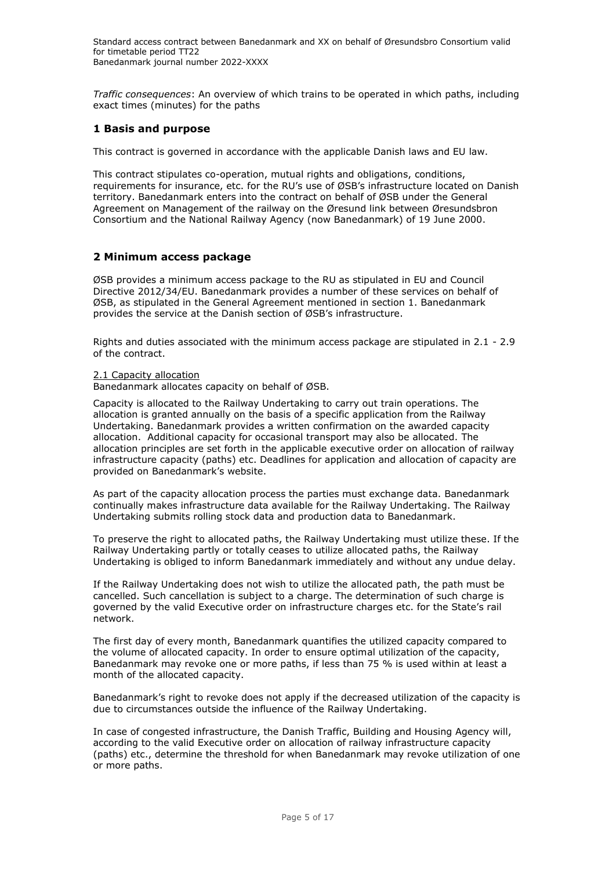*Traffic consequences*: An overview of which trains to be operated in which paths, including exact times (minutes) for the paths

## <span id="page-4-0"></span>**1 Basis and purpose**

This contract is governed in accordance with the applicable Danish laws and EU law.

This contract stipulates co-operation, mutual rights and obligations, conditions, requirements for insurance, etc. for the RU's use of ØSB's infrastructure located on Danish territory. Banedanmark enters into the contract on behalf of ØSB under the General Agreement on Management of the railway on the Øresund link between Øresundsbron Consortium and the National Railway Agency (now Banedanmark) of 19 June 2000.

## <span id="page-4-1"></span>**2 Minimum access package**

ØSB provides a minimum access package to the RU as stipulated in EU and Council Directive 2012/34/EU. Banedanmark provides a number of these services on behalf of ØSB, as stipulated in the General Agreement mentioned in section 1. Banedanmark provides the service at the Danish section of ØSB's infrastructure.

Rights and duties associated with the minimum access package are stipulated in 2.1 - 2.9 of the contract.

<span id="page-4-2"></span>2.1 Capacity allocation

Banedanmark allocates capacity on behalf of ØSB.

Capacity is allocated to the Railway Undertaking to carry out train operations. The allocation is granted annually on the basis of a specific application from the Railway Undertaking. Banedanmark provides a written confirmation on the awarded capacity allocation. Additional capacity for occasional transport may also be allocated. The allocation principles are set forth in the applicable executive order on allocation of railway infrastructure capacity (paths) etc. Deadlines for application and allocation of capacity are provided on Banedanmark's website.

As part of the capacity allocation process the parties must exchange data. Banedanmark continually makes infrastructure data available for the Railway Undertaking. The Railway Undertaking submits rolling stock data and production data to Banedanmark.

To preserve the right to allocated paths, the Railway Undertaking must utilize these. If the Railway Undertaking partly or totally ceases to utilize allocated paths, the Railway Undertaking is obliged to inform Banedanmark immediately and without any undue delay.

If the Railway Undertaking does not wish to utilize the allocated path, the path must be cancelled. Such cancellation is subject to a charge. The determination of such charge is governed by the valid Executive order on infrastructure charges etc. for the State's rail network.

The first day of every month, Banedanmark quantifies the utilized capacity compared to the volume of allocated capacity. In order to ensure optimal utilization of the capacity, Banedanmark may revoke one or more paths, if less than 75 % is used within at least a month of the allocated capacity.

Banedanmark's right to revoke does not apply if the decreased utilization of the capacity is due to circumstances outside the influence of the Railway Undertaking.

In case of congested infrastructure, the Danish Traffic, Building and Housing Agency will, according to the valid Executive order on allocation of railway infrastructure capacity (paths) etc., determine the threshold for when Banedanmark may revoke utilization of one or more paths.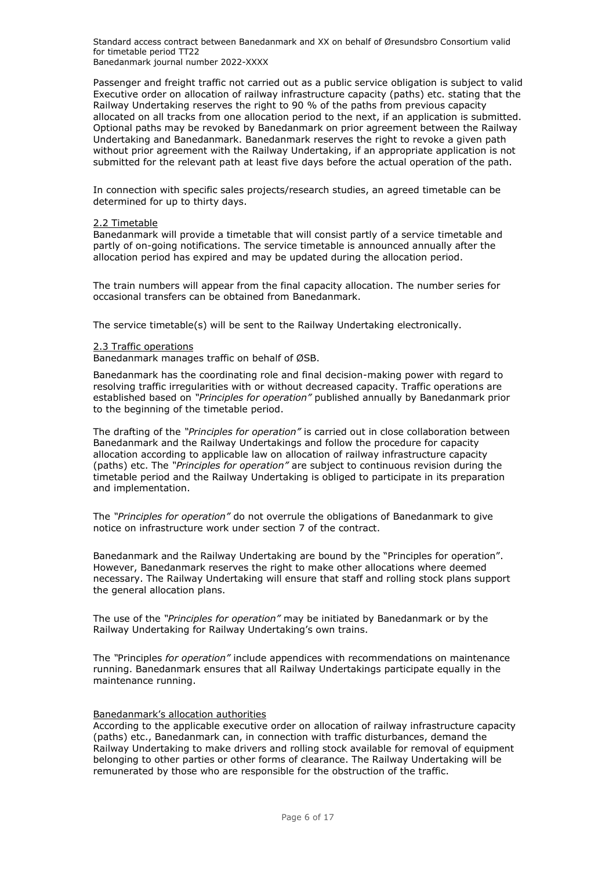Passenger and freight traffic not carried out as a public service obligation is subject to valid Executive order on allocation of railway infrastructure capacity (paths) etc. stating that the Railway Undertaking reserves the right to 90 % of the paths from previous capacity allocated on all tracks from one allocation period to the next, if an application is submitted. Optional paths may be revoked by Banedanmark on prior agreement between the Railway Undertaking and Banedanmark. Banedanmark reserves the right to revoke a given path without prior agreement with the Railway Undertaking, if an appropriate application is not submitted for the relevant path at least five days before the actual operation of the path.

In connection with specific sales projects/research studies, an agreed timetable can be determined for up to thirty days.

#### <span id="page-5-0"></span>2.2 Timetable

Banedanmark will provide a timetable that will consist partly of a service timetable and partly of on-going notifications. The service timetable is announced annually after the allocation period has expired and may be updated during the allocation period.

The train numbers will appear from the final capacity allocation. The number series for occasional transfers can be obtained from Banedanmark.

<span id="page-5-1"></span>The service timetable(s) will be sent to the Railway Undertaking electronically.

#### 2.3 Traffic operations

Banedanmark manages traffic on behalf of ØSB.

Banedanmark has the coordinating role and final decision-making power with regard to resolving traffic irregularities with or without decreased capacity. Traffic operations are established based on *"Principles for operation"* published annually by Banedanmark prior to the beginning of the timetable period.

The drafting of the *"Principles for operation"* is carried out in close collaboration between Banedanmark and the Railway Undertakings and follow the procedure for capacity allocation according to applicable law on allocation of railway infrastructure capacity (paths) etc. The *"Principles for operation"* are subject to continuous revision during the timetable period and the Railway Undertaking is obliged to participate in its preparation and implementation.

The *"Principles for operation"* do not overrule the obligations of Banedanmark to give notice on infrastructure work under section 7 of the contract.

Banedanmark and the Railway Undertaking are bound by the "Principles for operation". However, Banedanmark reserves the right to make other allocations where deemed necessary. The Railway Undertaking will ensure that staff and rolling stock plans support the general allocation plans.

The use of the *"Principles for operation"* may be initiated by Banedanmark or by the Railway Undertaking for Railway Undertaking's own trains.

The *"*Principles *for operation"* include appendices with recommendations on maintenance running. Banedanmark ensures that all Railway Undertakings participate equally in the maintenance running.

#### Banedanmark's allocation authorities

According to the applicable executive order on allocation of railway infrastructure capacity (paths) etc., Banedanmark can, in connection with traffic disturbances, demand the Railway Undertaking to make drivers and rolling stock available for removal of equipment belonging to other parties or other forms of clearance. The Railway Undertaking will be remunerated by those who are responsible for the obstruction of the traffic.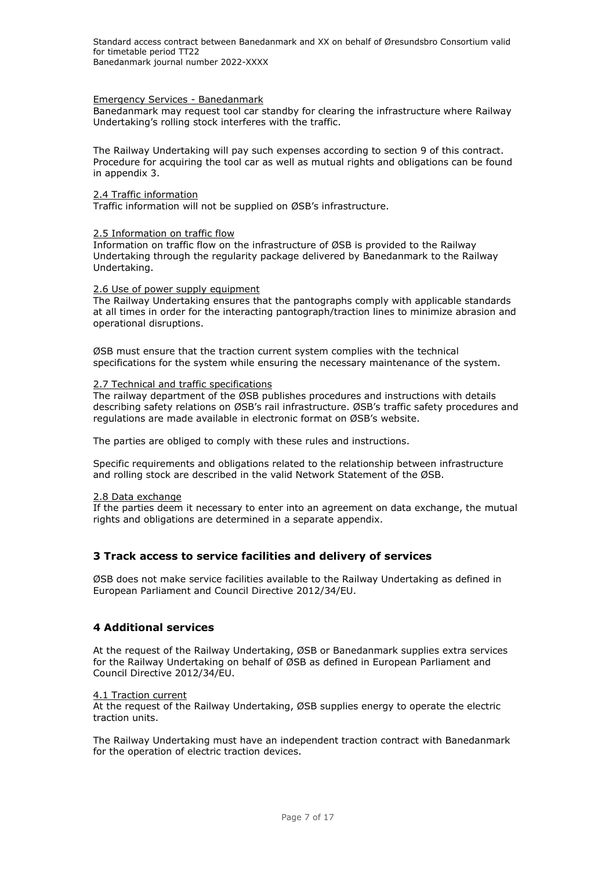### Emergency Services - Banedanmark

Banedanmark may request tool car standby for clearing the infrastructure where Railway Undertaking's rolling stock interferes with the traffic.

The Railway Undertaking will pay such expenses according to section 9 of this contract. Procedure for acquiring the tool car as well as mutual rights and obligations can be found in appendix 3.

### <span id="page-6-0"></span>2.4 Traffic information

Traffic information will not be supplied on ØSB's infrastructure.

### <span id="page-6-1"></span>2.5 Information on traffic flow

Information on traffic flow on the infrastructure of ØSB is provided to the Railway Undertaking through the regularity package delivered by Banedanmark to the Railway Undertaking.

#### <span id="page-6-2"></span>2.6 Use of power supply equipment

The Railway Undertaking ensures that the pantographs comply with applicable standards at all times in order for the interacting pantograph/traction lines to minimize abrasion and operational disruptions.

ØSB must ensure that the traction current system complies with the technical specifications for the system while ensuring the necessary maintenance of the system.

### <span id="page-6-3"></span>2.7 Technical and traffic specifications

The railway department of the ØSB publishes procedures and instructions with details describing safety relations on ØSB's rail infrastructure. ØSB's traffic safety procedures and regulations are made available in electronic format on ØSB's website.

The parties are obliged to comply with these rules and instructions.

Specific requirements and obligations related to the relationship between infrastructure and rolling stock are described in the valid Network Statement of the ØSB.

### <span id="page-6-4"></span>2.8 Data exchange

<span id="page-6-5"></span>If the parties deem it necessary to enter into an agreement on data exchange, the mutual rights and obligations are determined in a separate appendix.

## **3 Track access to service facilities and delivery of services**

<span id="page-6-6"></span>ØSB does not make service facilities available to the Railway Undertaking as defined in European Parliament and Council Directive 2012/34/EU.

### **4 Additional services**

At the request of the Railway Undertaking, ØSB or Banedanmark supplies extra services for the Railway Undertaking on behalf of ØSB as defined in European Parliament and Council Directive 2012/34/EU.

#### <span id="page-6-7"></span>4.1 Traction current

At the request of the Railway Undertaking, ØSB supplies energy to operate the electric traction units.

The Railway Undertaking must have an independent traction contract with Banedanmark for the operation of electric traction devices.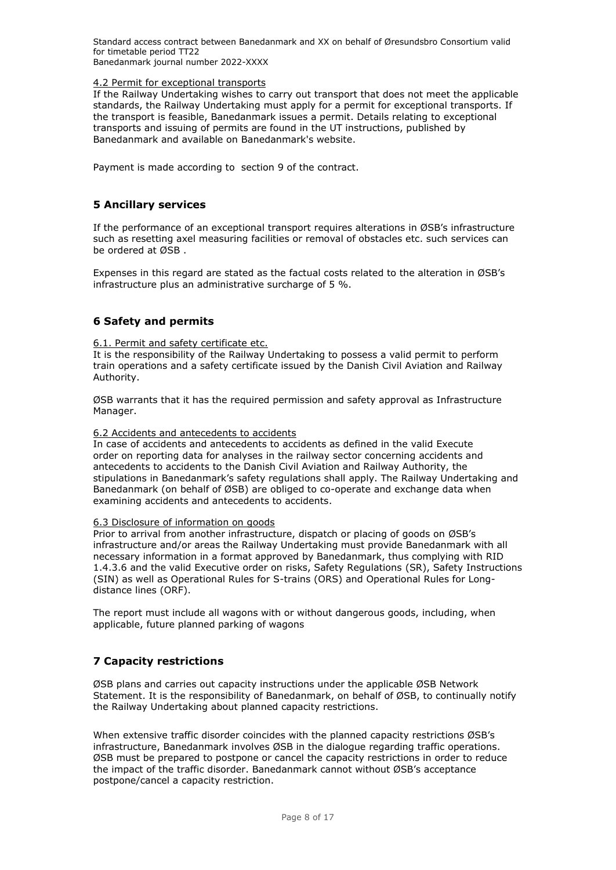Standard access contract between Banedanmark and XX on behalf of Øresundsbro Consortium valid for timetable period TT22

Banedanmark journal number 2022-XXXX

### <span id="page-7-0"></span>4.2 Permit for exceptional transports

If the Railway Undertaking wishes to carry out transport that does not meet the applicable standards, the Railway Undertaking must apply for a permit for exceptional transports. If the transport is feasible, Banedanmark issues a permit. Details relating to exceptional transports and issuing of permits are found in the UT instructions, published by Banedanmark and available on Banedanmark's website.

<span id="page-7-1"></span>Payment is made according to section 9 of the contract.

## **5 Ancillary services**

If the performance of an exceptional transport requires alterations in ØSB's infrastructure such as resetting axel measuring facilities or removal of obstacles etc. such services can be ordered at ØSB .

<span id="page-7-2"></span>Expenses in this regard are stated as the factual costs related to the alteration in ØSB's infrastructure plus an administrative surcharge of 5 %.

## **6 Safety and permits**

<span id="page-7-3"></span>6.1. Permit and safety certificate etc.

It is the responsibility of the Railway Undertaking to possess a valid permit to perform train operations and a safety certificate issued by the Danish Civil Aviation and Railway Authority.

ØSB warrants that it has the required permission and safety approval as Infrastructure Manager.

### <span id="page-7-4"></span>6.2 Accidents and antecedents to accidents

In case of accidents and antecedents to accidents as defined in the valid Execute order on reporting data for analyses in the railway sector concerning accidents and antecedents to accidents to the Danish Civil Aviation and Railway Authority, the stipulations in Banedanmark's safety regulations shall apply. The Railway Undertaking and Banedanmark (on behalf of ØSB) are obliged to co-operate and exchange data when examining accidents and antecedents to accidents.

### <span id="page-7-5"></span>6.3 Disclosure of information on goods

Prior to arrival from another infrastructure, dispatch or placing of goods on ØSB's infrastructure and/or areas the Railway Undertaking must provide Banedanmark with all necessary information in a format approved by Banedanmark, thus complying with RID 1.4.3.6 and the valid Executive order on risks, Safety Regulations (SR), Safety Instructions (SIN) as well as Operational Rules for S-trains (ORS) and Operational Rules for Longdistance lines (ORF).

<span id="page-7-6"></span>The report must include all wagons with or without dangerous goods, including, when applicable, future planned parking of wagons

## **7 Capacity restrictions**

ØSB plans and carries out capacity instructions under the applicable ØSB Network Statement. It is the responsibility of Banedanmark, on behalf of ØSB, to continually notify the Railway Undertaking about planned capacity restrictions.

When extensive traffic disorder coincides with the planned capacity restrictions ØSB's infrastructure, Banedanmark involves ØSB in the dialogue regarding traffic operations. ØSB must be prepared to postpone or cancel the capacity restrictions in order to reduce the impact of the traffic disorder. Banedanmark cannot without ØSB's acceptance postpone/cancel a capacity restriction.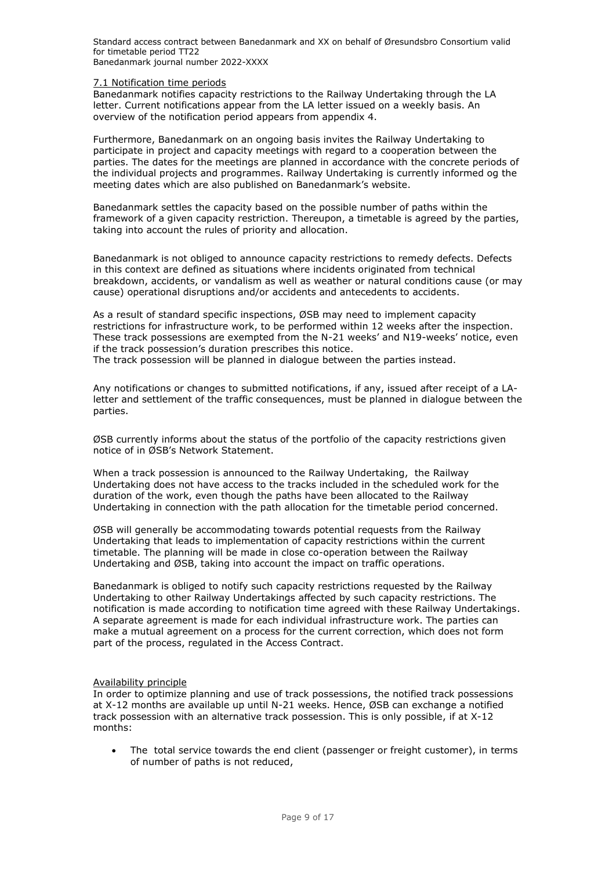Standard access contract between Banedanmark and XX on behalf of Øresundsbro Consortium valid for timetable period TT22

Banedanmark journal number 2022-XXXX

#### <span id="page-8-0"></span>7.1 Notification time periods

Banedanmark notifies capacity restrictions to the Railway Undertaking through the LA letter. Current notifications appear from the LA letter issued on a weekly basis. An overview of the notification period appears from appendix 4.

Furthermore, Banedanmark on an ongoing basis invites the Railway Undertaking to participate in project and capacity meetings with regard to a cooperation between the parties. The dates for the meetings are planned in accordance with the concrete periods of the individual projects and programmes. Railway Undertaking is currently informed og the meeting dates which are also published on Banedanmark's website.

Banedanmark settles the capacity based on the possible number of paths within the framework of a given capacity restriction. Thereupon, a timetable is agreed by the parties, taking into account the rules of priority and allocation.

Banedanmark is not obliged to announce capacity restrictions to remedy defects. Defects in this context are defined as situations where incidents originated from technical breakdown, accidents, or vandalism as well as weather or natural conditions cause (or may cause) operational disruptions and/or accidents and antecedents to accidents.

As a result of standard specific inspections, ØSB may need to implement capacity restrictions for infrastructure work, to be performed within 12 weeks after the inspection. These track possessions are exempted from the N-21 weeks' and N19-weeks' notice, even if the track possession's duration prescribes this notice.

The track possession will be planned in dialogue between the parties instead.

Any notifications or changes to submitted notifications, if any, issued after receipt of a LAletter and settlement of the traffic consequences, must be planned in dialogue between the parties.

ØSB currently informs about the status of the portfolio of the capacity restrictions given notice of in ØSB's Network Statement.

When a track possession is announced to the Railway Undertaking, the Railway Undertaking does not have access to the tracks included in the scheduled work for the duration of the work, even though the paths have been allocated to the Railway Undertaking in connection with the path allocation for the timetable period concerned.

ØSB will generally be accommodating towards potential requests from the Railway Undertaking that leads to implementation of capacity restrictions within the current timetable. The planning will be made in close co-operation between the Railway Undertaking and ØSB, taking into account the impact on traffic operations.

Banedanmark is obliged to notify such capacity restrictions requested by the Railway Undertaking to other Railway Undertakings affected by such capacity restrictions. The notification is made according to notification time agreed with these Railway Undertakings. A separate agreement is made for each individual infrastructure work. The parties can make a mutual agreement on a process for the current correction, which does not form part of the process, regulated in the Access Contract.

### Availability principle

In order to optimize planning and use of track possessions, the notified track possessions at X-12 months are available up until N-21 weeks. Hence, ØSB can exchange a notified track possession with an alternative track possession. This is only possible, if at X-12 months:

The total service towards the end client (passenger or freight customer), in terms of number of paths is not reduced,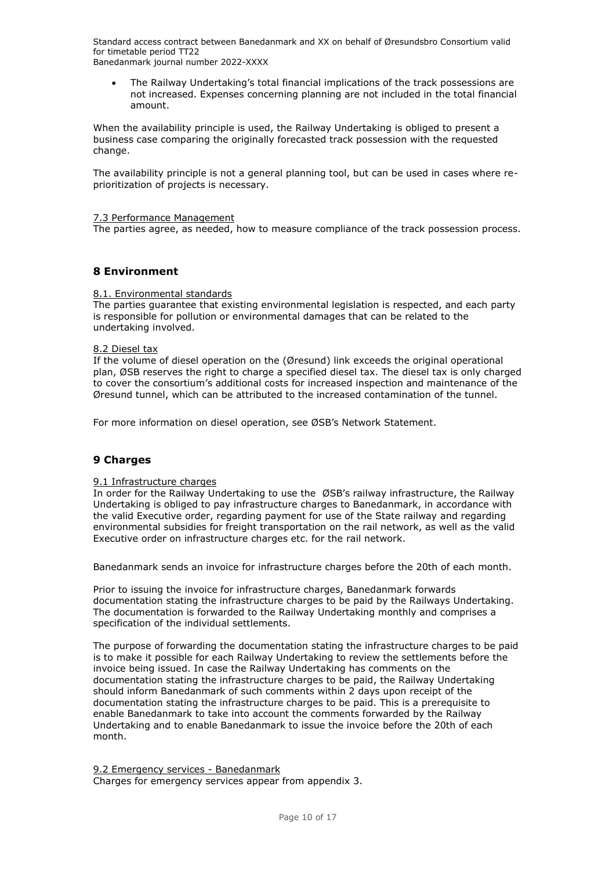Standard access contract between Banedanmark and XX on behalf of Øresundsbro Consortium valid for timetable period TT22

Banedanmark journal number 2022-XXXX

• The Railway Undertaking's total financial implications of the track possessions are not increased. Expenses concerning planning are not included in the total financial amount.

When the availability principle is used, the Railway Undertaking is obliged to present a business case comparing the originally forecasted track possession with the requested change.

The availability principle is not a general planning tool, but can be used in cases where reprioritization of projects is necessary.

### <span id="page-9-0"></span>7.3 Performance Management

<span id="page-9-1"></span>The parties agree, as needed, how to measure compliance of the track possession process.

### **8 Environment**

### <span id="page-9-2"></span>8.1. Environmental standards

The parties guarantee that existing environmental legislation is respected, and each party is responsible for pollution or environmental damages that can be related to the undertaking involved.

### <span id="page-9-3"></span>8.2 Diesel tax

If the volume of diesel operation on the (Øresund) link exceeds the original operational plan, ØSB reserves the right to charge a specified diesel tax. The diesel tax is only charged to cover the consortium's additional costs for increased inspection and maintenance of the Øresund tunnel, which can be attributed to the increased contamination of the tunnel.

<span id="page-9-4"></span>For more information on diesel operation, see ØSB's Network Statement.

## **9 Charges**

### <span id="page-9-5"></span>9.1 Infrastructure charges

In order for the Railway Undertaking to use the ØSB's railway infrastructure, the Railway Undertaking is obliged to pay infrastructure charges to Banedanmark, in accordance with the valid Executive order, regarding payment for use of the State railway and regarding environmental subsidies for freight transportation on the rail network, as well as the valid Executive order on infrastructure charges etc. for the rail network.

Banedanmark sends an invoice for infrastructure charges before the 20th of each month.

Prior to issuing the invoice for infrastructure charges, Banedanmark forwards documentation stating the infrastructure charges to be paid by the Railways Undertaking. The documentation is forwarded to the Railway Undertaking monthly and comprises a specification of the individual settlements.

The purpose of forwarding the documentation stating the infrastructure charges to be paid is to make it possible for each Railway Undertaking to review the settlements before the invoice being issued. In case the Railway Undertaking has comments on the documentation stating the infrastructure charges to be paid, the Railway Undertaking should inform Banedanmark of such comments within 2 days upon receipt of the documentation stating the infrastructure charges to be paid. This is a prerequisite to enable Banedanmark to take into account the comments forwarded by the Railway Undertaking and to enable Banedanmark to issue the invoice before the 20th of each month.

<span id="page-9-6"></span>9.2 Emergency services - Banedanmark Charges for emergency services appear from appendix 3.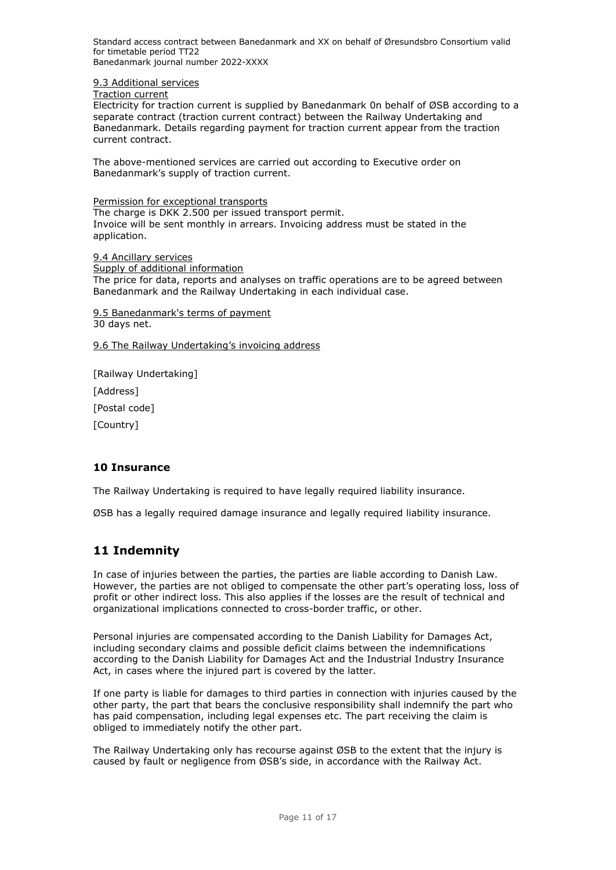<span id="page-10-0"></span>9.3 Additional services

Traction current

Electricity for traction current is supplied by Banedanmark 0n behalf of ØSB according to a separate contract (traction current contract) between the Railway Undertaking and Banedanmark. Details regarding payment for traction current appear from the traction current contract.

The above-mentioned services are carried out according to Executive order on Banedanmark's supply of traction current.

Permission for exceptional transports The charge is DKK 2.500 per issued transport permit. Invoice will be sent monthly in arrears. Invoicing address must be stated in the application.

<span id="page-10-1"></span>9.4 Ancillary services Supply of additional information The price for data, reports and analyses on traffic operations are to be agreed between Banedanmark and the Railway Undertaking in each individual case.

<span id="page-10-2"></span>9.5 Banedanmark's terms of payment 30 days net.

<span id="page-10-3"></span>9.6 The Railway Undertaking's invoicing address

[Railway Undertaking] [Address]

[Postal code]

<span id="page-10-4"></span>[Country]

## **10 Insurance**

The Railway Undertaking is required to have legally required liability insurance.

<span id="page-10-5"></span>ØSB has a legally required damage insurance and legally required liability insurance.

# **11 Indemnity**

In case of injuries between the parties, the parties are liable according to Danish Law. However, the parties are not obliged to compensate the other part's operating loss, loss of profit or other indirect loss. This also applies if the losses are the result of technical and organizational implications connected to cross-border traffic, or other.

Personal injuries are compensated according to the Danish Liability for Damages Act, including secondary claims and possible deficit claims between the indemnifications according to the Danish Liability for Damages Act and the Industrial Industry Insurance Act, in cases where the injured part is covered by the latter.

If one party is liable for damages to third parties in connection with injuries caused by the other party, the part that bears the conclusive responsibility shall indemnify the part who has paid compensation, including legal expenses etc. The part receiving the claim is obliged to immediately notify the other part.

The Railway Undertaking only has recourse against ØSB to the extent that the injury is caused by fault or negligence from ØSB's side, in accordance with the Railway Act.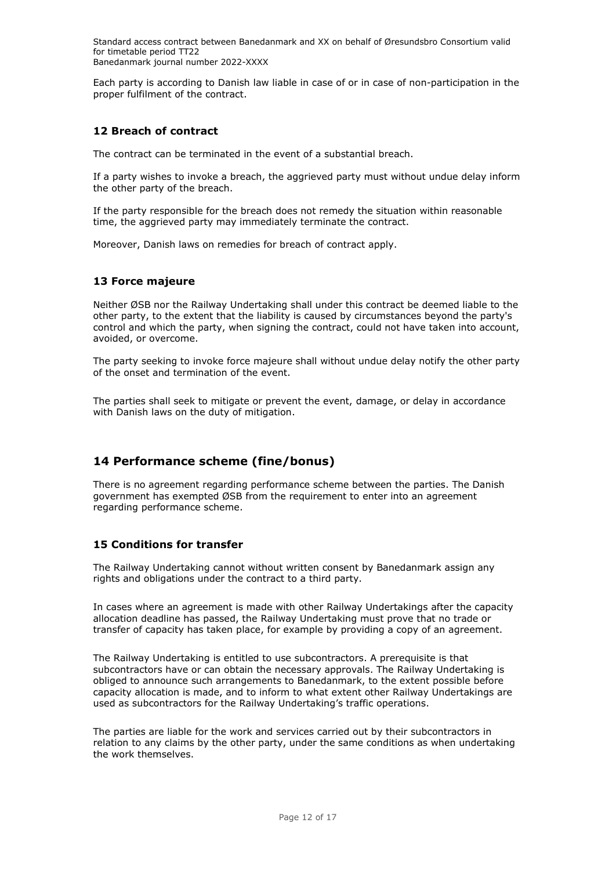<span id="page-11-0"></span>Each party is according to Danish law liable in case of or in case of non-participation in the proper fulfilment of the contract.

## **12 Breach of contract**

The contract can be terminated in the event of a substantial breach.

If a party wishes to invoke a breach, the aggrieved party must without undue delay inform the other party of the breach.

If the party responsible for the breach does not remedy the situation within reasonable time, the aggrieved party may immediately terminate the contract.

<span id="page-11-1"></span>Moreover, Danish laws on remedies for breach of contract apply.

## **13 Force majeure**

Neither ØSB nor the Railway Undertaking shall under this contract be deemed liable to the other party, to the extent that the liability is caused by circumstances beyond the party's control and which the party, when signing the contract, could not have taken into account, avoided, or overcome.

The party seeking to invoke force majeure shall without undue delay notify the other party of the onset and termination of the event.

The parties shall seek to mitigate or prevent the event, damage, or delay in accordance with Danish laws on the duty of mitigation.

# <span id="page-11-2"></span>**14 Performance scheme (fine/bonus)**

There is no agreement regarding performance scheme between the parties. The Danish government has exempted ØSB from the requirement to enter into an agreement regarding performance scheme.

## <span id="page-11-3"></span>**15 Conditions for transfer**

The Railway Undertaking cannot without written consent by Banedanmark assign any rights and obligations under the contract to a third party.

In cases where an agreement is made with other Railway Undertakings after the capacity allocation deadline has passed, the Railway Undertaking must prove that no trade or transfer of capacity has taken place, for example by providing a copy of an agreement.

The Railway Undertaking is entitled to use subcontractors. A prerequisite is that subcontractors have or can obtain the necessary approvals. The Railway Undertaking is obliged to announce such arrangements to Banedanmark, to the extent possible before capacity allocation is made, and to inform to what extent other Railway Undertakings are used as subcontractors for the Railway Undertaking's traffic operations.

The parties are liable for the work and services carried out by their subcontractors in relation to any claims by the other party, under the same conditions as when undertaking the work themselves.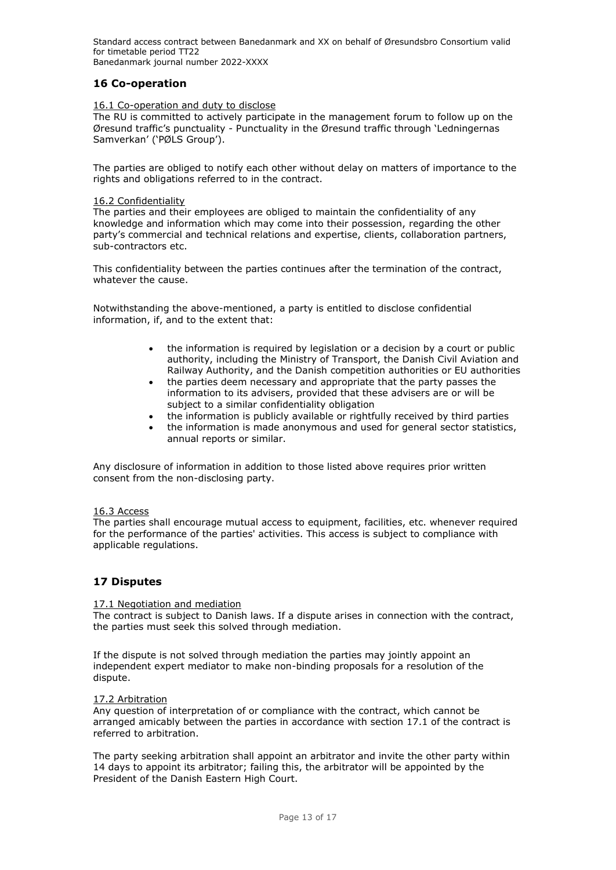# <span id="page-12-0"></span>**16 Co-operation**

### <span id="page-12-1"></span>16.1 Co-operation and duty to disclose

The RU is committed to actively participate in the management forum to follow up on the Øresund traffic's punctuality - Punctuality in the Øresund traffic through 'Ledningernas Samverkan' ('PØLS Group').

The parties are obliged to notify each other without delay on matters of importance to the rights and obligations referred to in the contract.

### <span id="page-12-2"></span>16.2 Confidentiality

The parties and their employees are obliged to maintain the confidentiality of any knowledge and information which may come into their possession, regarding the other party's commercial and technical relations and expertise, clients, collaboration partners, sub-contractors etc.

This confidentiality between the parties continues after the termination of the contract, whatever the cause.

Notwithstanding the above-mentioned, a party is entitled to disclose confidential information, if, and to the extent that:

- the information is required by legislation or a decision by a court or public authority, including the Ministry of Transport, the Danish Civil Aviation and Railway Authority, and the Danish competition authorities or EU authorities
- the parties deem necessary and appropriate that the party passes the information to its advisers, provided that these advisers are or will be subject to a similar confidentiality obligation
- the information is publicly available or rightfully received by third parties
- the information is made anonymous and used for general sector statistics, annual reports or similar.

Any disclosure of information in addition to those listed above requires prior written consent from the non-disclosing party.

#### <span id="page-12-3"></span>16.3 Access

The parties shall encourage mutual access to equipment, facilities, etc. whenever required for the performance of the parties' activities. This access is subject to compliance with applicable regulations.

## <span id="page-12-4"></span>**17 Disputes**

### <span id="page-12-5"></span>17.1 Negotiation and mediation

The contract is subject to Danish laws. If a dispute arises in connection with the contract, the parties must seek this solved through mediation.

If the dispute is not solved through mediation the parties may jointly appoint an independent expert mediator to make non-binding proposals for a resolution of the dispute.

#### <span id="page-12-6"></span>17.2 Arbitration

Any question of interpretation of or compliance with the contract, which cannot be arranged amicably between the parties in accordance with section 17.1 of the contract is referred to arbitration.

The party seeking arbitration shall appoint an arbitrator and invite the other party within 14 days to appoint its arbitrator; failing this, the arbitrator will be appointed by the President of the Danish Eastern High Court.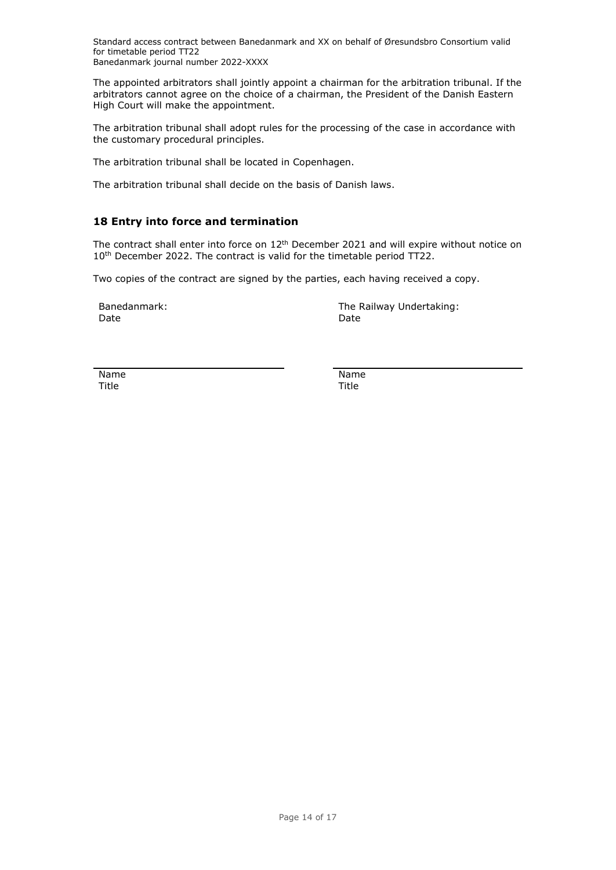The appointed arbitrators shall jointly appoint a chairman for the arbitration tribunal. If the arbitrators cannot agree on the choice of a chairman, the President of the Danish Eastern High Court will make the appointment.

The arbitration tribunal shall adopt rules for the processing of the case in accordance with the customary procedural principles.

The arbitration tribunal shall be located in Copenhagen.

<span id="page-13-0"></span>The arbitration tribunal shall decide on the basis of Danish laws.

## **18 Entry into force and termination**

The contract shall enter into force on  $12<sup>th</sup>$  December 2021 and will expire without notice on 10<sup>th</sup> December 2022. The contract is valid for the timetable period TT22.

Two copies of the contract are signed by the parties, each having received a copy.

Date **Date** Date **Date** Date **Date** 

Banedanmark: The Railway Undertaking:

Name Name Title Title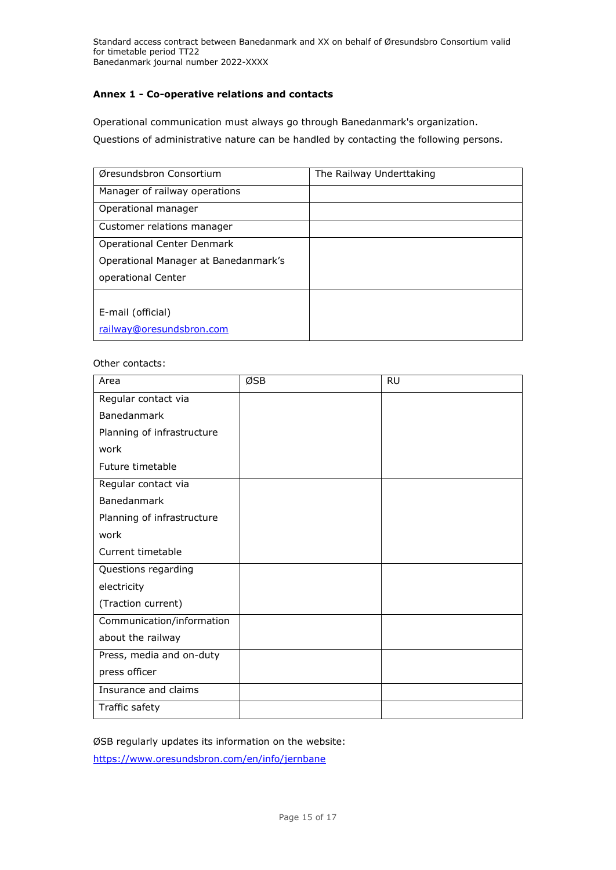## <span id="page-14-0"></span>**Annex 1 - Co-operative relations and contacts**

Operational communication must always go through Banedanmark's organization. Questions of administrative nature can be handled by contacting the following persons.

| Øresundsbron Consortium              | The Railway Underttaking |
|--------------------------------------|--------------------------|
| Manager of railway operations        |                          |
| Operational manager                  |                          |
| Customer relations manager           |                          |
| Operational Center Denmark           |                          |
| Operational Manager at Banedanmark's |                          |
| operational Center                   |                          |
|                                      |                          |
| E-mail (official)                    |                          |
| railway@oresundsbron.com             |                          |

### Other contacts:

| Area                       | ØSB | <b>RU</b> |
|----------------------------|-----|-----------|
| Regular contact via        |     |           |
| Banedanmark                |     |           |
| Planning of infrastructure |     |           |
| work                       |     |           |
| Future timetable           |     |           |
| Regular contact via        |     |           |
| Banedanmark                |     |           |
| Planning of infrastructure |     |           |
| work                       |     |           |
| Current timetable          |     |           |
| Questions regarding        |     |           |
| electricity                |     |           |
| (Traction current)         |     |           |
| Communication/information  |     |           |
| about the railway          |     |           |
| Press, media and on-duty   |     |           |
| press officer              |     |           |
| Insurance and claims       |     |           |
| Traffic safety             |     |           |

ØSB regularly updates its information on the website: <https://www.oresundsbron.com/en/info/jernbane>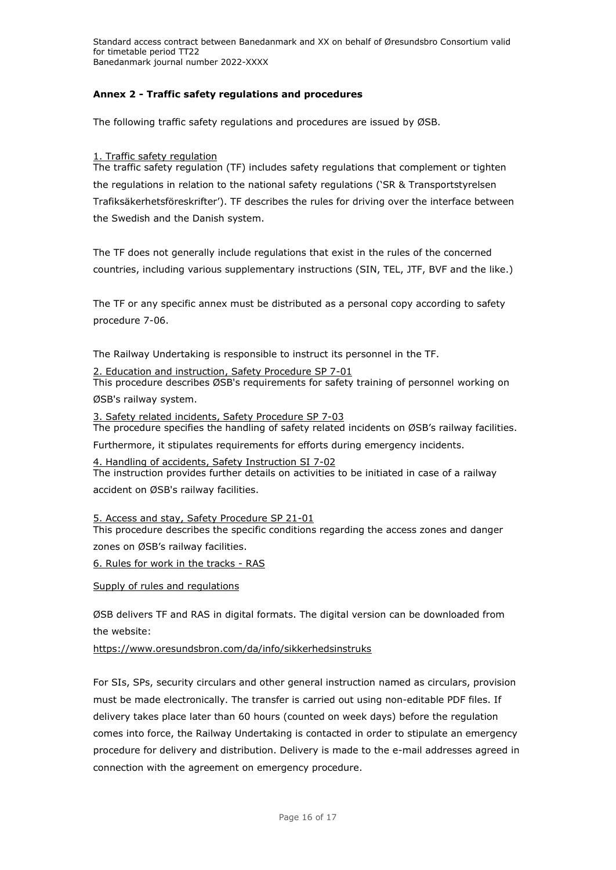## <span id="page-15-0"></span>**Annex 2 - Traffic safety regulations and procedures**

The following traffic safety regulations and procedures are issued by ØSB.

# 1. Traffic safety regulation

The traffic safety regulation (TF) includes safety regulations that complement or tighten the regulations in relation to the national safety regulations ('SR & Transportstyrelsen Trafiksäkerhetsföreskrifter'). TF describes the rules for driving over the interface between the Swedish and the Danish system.

The TF does not generally include regulations that exist in the rules of the concerned countries, including various supplementary instructions (SIN, TEL, JTF, BVF and the like.)

The TF or any specific annex must be distributed as a personal copy according to safety procedure 7-06.

The Railway Undertaking is responsible to instruct its personnel in the TF.

2. Education and instruction, Safety Procedure SP 7-01 This procedure describes ØSB's requirements for safety training of personnel working on

ØSB's railway system.

3. Safety related incidents, Safety Procedure SP 7-03 The procedure specifies the handling of safety related incidents on ØSB's railway facilities.

Furthermore, it stipulates requirements for efforts during emergency incidents.

4. Handling of accidents, Safety Instruction SI 7-02 The instruction provides further details on activities to be initiated in case of a railway accident on ØSB's railway facilities.

5. Access and stay, Safety Procedure SP 21-01 This procedure describes the specific conditions regarding the access zones and danger zones on ØSB's railway facilities.

6. Rules for work in the tracks - RAS

Supply of rules and regulations

ØSB delivers TF and RAS in digital formats. The digital version can be downloaded from the website:

https://www.oresundsbron.com/da/info/sikkerhedsinstruks

For SIs, SPs, security circulars and other general instruction named as circulars, provision must be made electronically. The transfer is carried out using non-editable PDF files. If delivery takes place later than 60 hours (counted on week days) before the regulation comes into force, the Railway Undertaking is contacted in order to stipulate an emergency procedure for delivery and distribution. Delivery is made to the e-mail addresses agreed in connection with the agreement on emergency procedure.